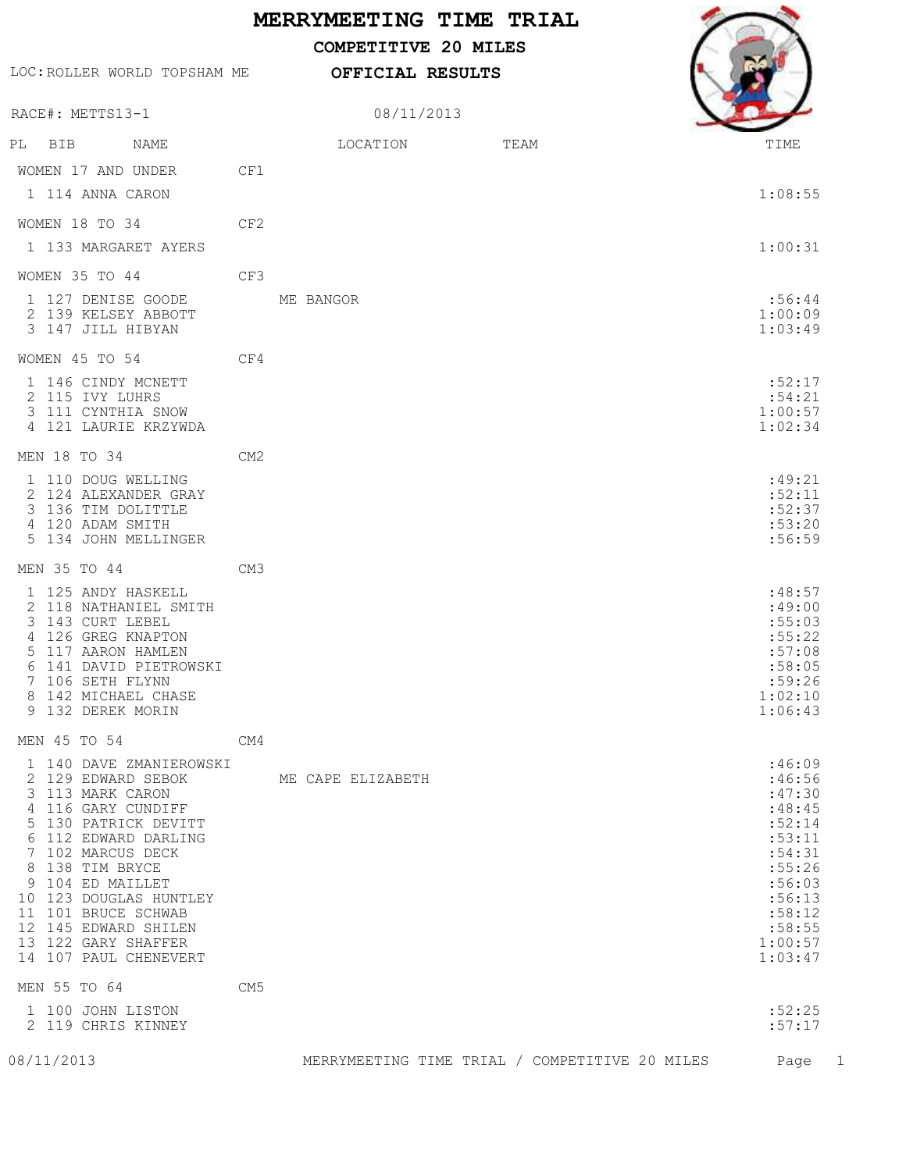## **MERRYMEETING TIME TRIAL**

08/11/2013

**OFFICIAL RESULTS**

 **COMPETITIVE 20 MILES**

LOC:ROLLER WORLD TOPSHAM ME

RACE#: METTS13-1

WOMEN 17 AND UNDER CF1

WOMEN 18 TO 34 CF2

WOMEN 35 TO 44 CF3

WOMEN 45 TO 54 CF4

4 121 LAURIE KRZYWDA

MEN 18 TO 34 CM2

4 120 ADAM SMITH

MEN 35 TO 44 CM3

9 132 DEREK MORIN

MEN 45 TO 54 CM4

2 129 EDWARD SEBOK ME CAPE ELIZABETH :46:56<br>3 113 MARK CARON :47:30 3 113 MARK CARON 4 116 GARY CUNDIFF :48:45 5 130 PATRICK DEVITT :52:14 6 112 EDWARD DARLING :53:11 7 102 MARCUS DECK :54:31 8 138 TIM BRYCE 9 104 ED MAILLET :56:03

 10 123 DOUGLAS HUNTLEY :56:13 11 101 BRUCE SCHWAB :58:12

12 145 EDWARD SHILEN :58:55<br>13 122 GARY SHAFFER 1:00:57 13 122 GARY SHAFFER 1:00:57<br>14 107 PAUL CHENEVERT 100:57 14 107 PAUL CHENEVERT

MEN 55 TO 64 CM5

1 100 JOHN LISTON :52:25

2 119 CHRIS KINNEY :57:17

08/11/2013 MERRYMEETING TIME TRIAL / COMPETITIVE 20 MILES Page 1

PL BIB NAME  $\overline{LOCATION}$  TEAM THIME 1 114 ANNA CARON 1:08:55 1 133 MARGARET AYERS 1:00:31 1 127 DENISE GOODE ME BANGOR :56:44 2 139 KELSEY ABBOTT 1:00:09 3 147 JILL HIBYAN 1:03:49 1 146 CINDY MCNETT :52:17 2 115 IVY LUHRS :54:21 3 111 CYNTHIA SNOW 1:00:57 1 110 DOUG WELLING : 49:21 2 124 ALEXANDER GRAY :52:11 3 136 TIM DOLITTLE :52:37 5 134 JOHN MELLINGER :56:59 1 125 ANDY HASKELL :48:57 2 118 NATHANIEL SMITH :49:00 3 143 CURT LEBEL :55:03 4 126 GREG KNAPTON :55:22 5 117 AARON HAMLEN :57:08 6 141 DAVID PIETROWSKI :58:05 7 106 SETH FLYNN :59:26 8 142 MICHAEL CHASE 1:02:10<br>9 132 DEREK MORIN 1:06:43 1 140 DAVE ZMANIEROWSKI :46:09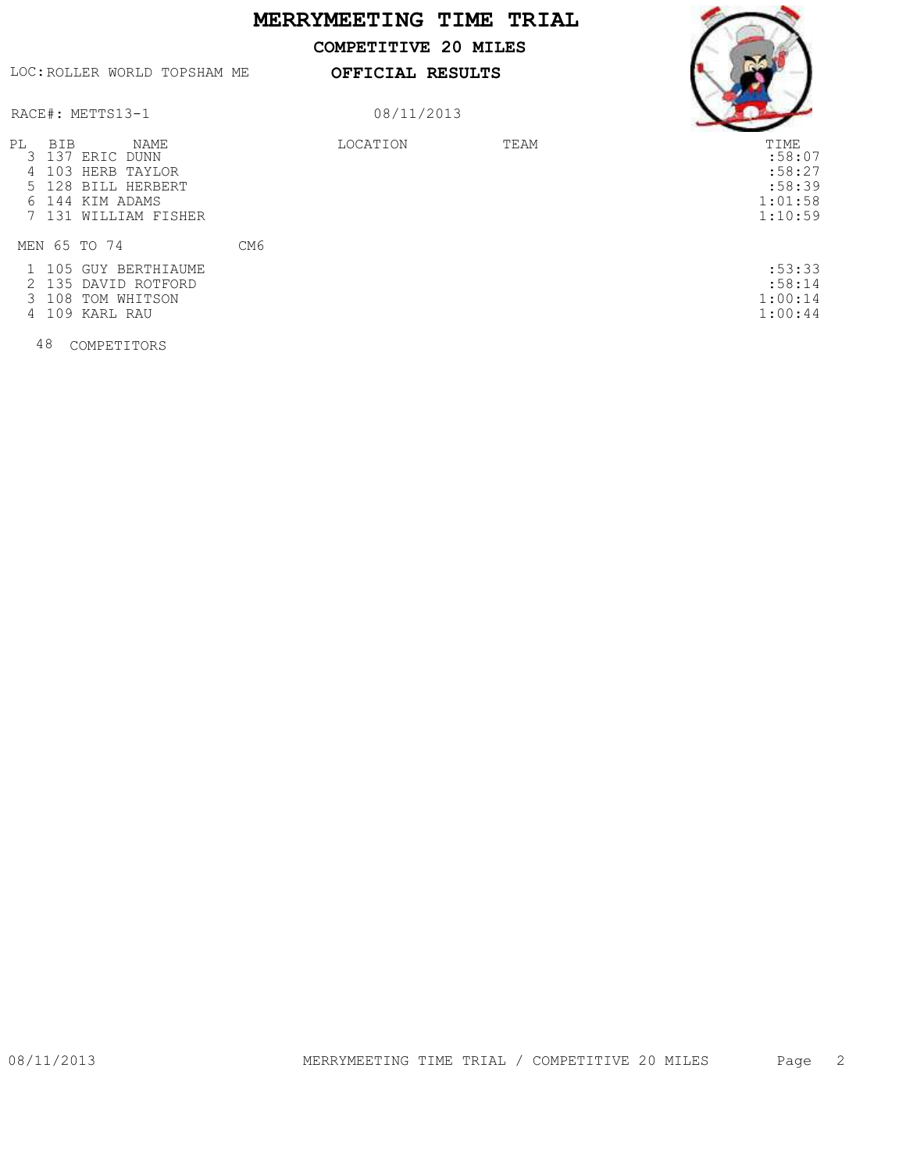## **MERRYMEETING TIME TRIAL**

 **COMPETITIVE 20 MILES**

LOC:ROLLER WORLD TOPSHAM ME

**OFFICIAL RESULTS**



RACE#: METTS13-1

## 08/11/2013

| РL | BIB | <b>NAME</b><br>3 137 ERIC DUNN<br>4 103 HERB TAYLOR<br>5 128 BILL HERBERT<br>6 144 KIM ADAMS<br>7 131 WILLIAM FISHER |                 | LOCATION | TEAM | TIME<br>:58:07<br>:58:27<br>:58:39<br>1:01:58<br>1:10:59 |
|----|-----|----------------------------------------------------------------------------------------------------------------------|-----------------|----------|------|----------------------------------------------------------|
|    |     | MEN 65 TO 74                                                                                                         | CM <sub>6</sub> |          |      |                                                          |
|    |     | 1 105 GUY BERTHIAUME<br>2 135 DAVID ROTFORD<br>3 108 TOM WHITSON<br>4 109 KARL RAU                                   |                 |          |      | :53:33<br>:58:14<br>1:00:14<br>1:00:44                   |

48 COMPETITORS